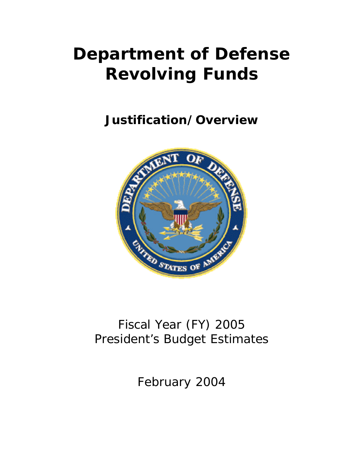# **Department of Defense Revolving Funds**

**Justification/Overview**



## Fiscal Year (FY) 2005 President's Budget Estimates

February 2004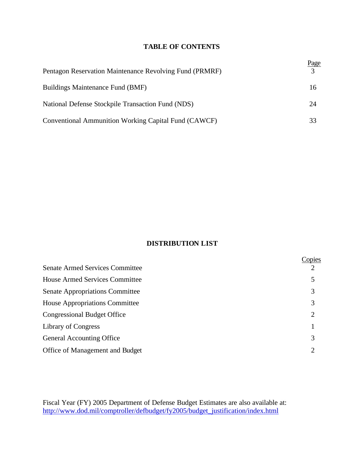## **TABLE OF CONTENTS**

| Pentagon Reservation Maintenance Revolving Fund (PRMRF) | Page<br>3 |
|---------------------------------------------------------|-----------|
| Buildings Maintenance Fund (BMF)                        | 16        |
| National Defense Stockpile Transaction Fund (NDS)       | 24        |
| Conventional Ammunition Working Capital Fund (CAWCF)    | 33        |

## **DISTRIBUTION LIST**

|                                        | Copies         |
|----------------------------------------|----------------|
| <b>Senate Armed Services Committee</b> |                |
| <b>House Armed Services Committee</b>  | 5              |
| <b>Senate Appropriations Committee</b> | 3              |
| <b>House Appropriations Committee</b>  | 3              |
| <b>Congressional Budget Office</b>     | $\overline{2}$ |
| Library of Congress                    |                |
| <b>General Accounting Office</b>       | 3              |
| Office of Management and Budget        | 2              |

Fiscal Year (FY) 2005 Department of Defense Budget Estimates are also available at: http://www.dod.mil/comptroller/defbudget/fy2005/budget\_justification/index.html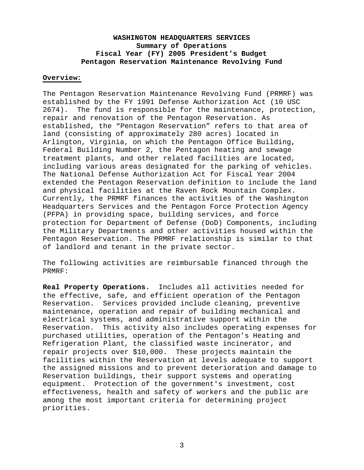## **WASHINGTON HEADQUARTERS SERVICES Summary of Operations Fiscal Year (FY) 2005 President's Budget Pentagon Reservation Maintenance Revolving Fund**

## **Overview:**

The Pentagon Reservation Maintenance Revolving Fund (PRMRF) was established by the FY 1991 Defense Authorization Act (10 USC 2674). The fund is responsible for the maintenance, protection, repair and renovation of the Pentagon Reservation. As established, the "Pentagon Reservation" refers to that area of land (consisting of approximately 280 acres) located in Arlington, Virginia, on which the Pentagon Office Building, Federal Building Number 2, the Pentagon heating and sewage treatment plants, and other related facilities are located, including various areas designated for the parking of vehicles. The National Defense Authorization Act for Fiscal Year 2004 extended the Pentagon Reservation definition to include the land and physical facilities at the Raven Rock Mountain Complex. Currently, the PRMRF finances the activities of the Washington Headquarters Services and the Pentagon Force Protection Agency (PFPA) in providing space, building services, and force protection for Department of Defense (DoD) Components, including the Military Departments and other activities housed within the Pentagon Reservation. The PRMRF relationship is similar to that of landlord and tenant in the private sector.

The following activities are reimbursable financed through the PRMRF:

**Real Property Operations.** Includes all activities needed for the effective, safe, and efficient operation of the Pentagon Reservation. Services provided include cleaning, preventive maintenance, operation and repair of building mechanical and electrical systems, and administrative support within the Reservation. This activity also includes operating expenses for purchased utilities, operation of the Pentagon's Heating and Refrigeration Plant, the classified waste incinerator, and repair projects over \$10,000. These projects maintain the facilities within the Reservation at levels adequate to support the assigned missions and to prevent deterioration and damage to Reservation buildings, their support systems and operating equipment. Protection of the government's investment, cost effectiveness, health and safety of workers and the public are among the most important criteria for determining project priorities.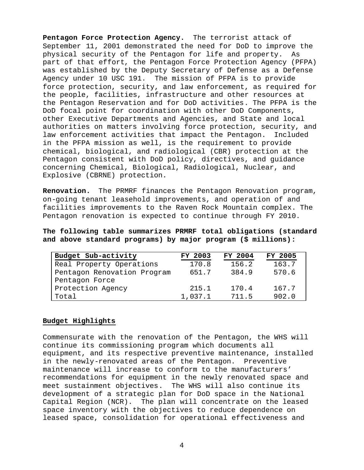**Pentagon Force Protection Agency.** The terrorist attack of September 11, 2001 demonstrated the need for DoD to improve the physical security of the Pentagon for life and property. As part of that effort, the Pentagon Force Protection Agency (PFPA) was established by the Deputy Secretary of Defense as a Defense Agency under 10 USC 191. The mission of PFPA is to provide force protection, security, and law enforcement, as required for the people, facilities, infrastructure and other resources at the Pentagon Reservation and for DoD activities. The PFPA is the DoD focal point for coordination with other DoD Components, other Executive Departments and Agencies, and State and local authorities on matters involving force protection, security, and law enforcement activities that impact the Pentagon. Included in the PFPA mission as well, is the requirement to provide chemical, biological, and radiological (CBR) protection at the Pentagon consistent with DoD policy, directives, and guidance concerning Chemical, Biological, Radiological, Nuclear, and Explosive (CBRNE) protection.

**Renovation.** The PRMRF finances the Pentagon Renovation program, on-going tenant leasehold improvements, and operation of and facilities improvements to the Raven Rock Mountain complex. The Pentagon renovation is expected to continue through FY 2010.

## **The following table summarizes PRMRF total obligations (standard and above standard programs) by major program (\$ millions):**

| Budget Sub-activity         | <b>FY 2003</b> | FY 2004 | FY 2005 |
|-----------------------------|----------------|---------|---------|
| Real Property Operations    | 170.8          | 156.2   | 163.7   |
| Pentagon Renovation Program | 651.7          | 384.9   | 570.6   |
| Pentagon Force              |                |         |         |
| Protection Agency           | 215.1          | 170.4   | 167.7   |
| Total                       | 1,037.1        | 711.5   | 902.0   |

#### **Budget Highlights**

Commensurate with the renovation of the Pentagon, the WHS will continue its commissioning program which documents all equipment, and its respective preventive maintenance, installed in the newly-renovated areas of the Pentagon. Preventive maintenance will increase to conform to the manufacturers' recommendations for equipment in the newly renovated space and meet sustainment objectives. The WHS will also continue its development of a strategic plan for DoD space in the National Capital Region (NCR). The plan will concentrate on the leased space inventory with the objectives to reduce dependence on leased space, consolidation for operational effectiveness and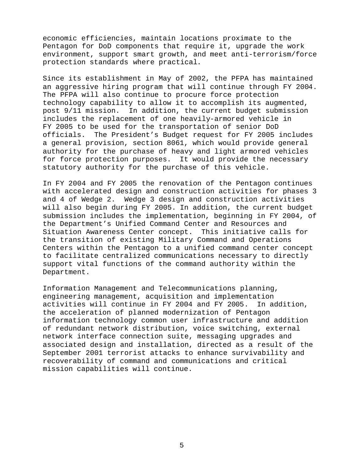economic efficiencies, maintain locations proximate to the Pentagon for DoD components that require it, upgrade the work environment, support smart growth, and meet anti-terrorism/force protection standards where practical.

Since its establishment in May of 2002, the PFPA has maintained an aggressive hiring program that will continue through FY 2004. The PFPA will also continue to procure force protection technology capability to allow it to accomplish its augmented, post 9/11 mission. In addition, the current budget submission includes the replacement of one heavily-armored vehicle in FY 2005 to be used for the transportation of senior DoD officials. The President's Budget request for FY 2005 includes a general provision, section 8061, which would provide general authority for the purchase of heavy and light armored vehicles for force protection purposes. It would provide the necessary statutory authority for the purchase of this vehicle.

In FY 2004 and FY 2005 the renovation of the Pentagon continues with accelerated design and construction activities for phases 3 and 4 of Wedge 2. Wedge 3 design and construction activities will also begin during FY 2005. In addition, the current budget submission includes the implementation, beginning in FY 2004, of the Department's Unified Command Center and Resources and Situation Awareness Center concept. This initiative calls for the transition of existing Military Command and Operations Centers within the Pentagon to a unified command center concept to facilitate centralized communications necessary to directly support vital functions of the command authority within the Department.

Information Management and Telecommunications planning, engineering management, acquisition and implementation activities will continue in FY 2004 and FY 2005. In addition, the acceleration of planned modernization of Pentagon information technology common user infrastructure and addition of redundant network distribution, voice switching, external network interface connection suite, messaging upgrades and associated design and installation, directed as a result of the September 2001 terrorist attacks to enhance survivability and recoverability of command and communications and critical mission capabilities will continue.

5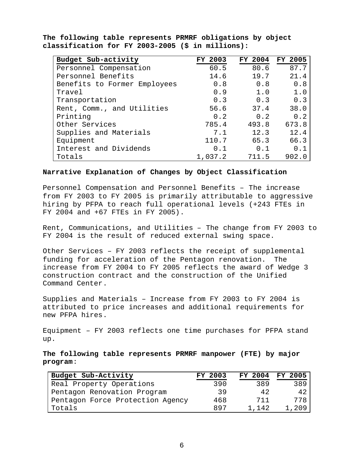| Budget Sub-activity          | <b>FY 2003</b> | FY 2004 | <b>FY 2005</b> |
|------------------------------|----------------|---------|----------------|
| Personnel Compensation       | 60.5           | 80.6    | 87.7           |
| Personnel Benefits           | 14.6           | 19.7    | 21.4           |
| Benefits to Former Employees | 0.8            | 0.8     | 0.8            |
| Travel                       | 0.9            | 1.0     | 1.0            |
| Transportation               | 0.3            | 0.3     | 0.3            |
| Rent, Comm., and Utilities   | 56.6           | 37.4    | 38.0           |
| Printing                     | 0.2            | 0.2     | 0.2            |
| Other Services               | 785.4          | 493.8   | 673.8          |
| Supplies and Materials       | 7.1            | 12.3    | 12.4           |
| Equipment                    | 110.7          | 65.3    | 66.3           |
| Interest and Dividends       | 0.1            | 0.1     | 0.1            |
| Totals                       | 1,037.2        | 711.5   | 902.0          |

**The following table represents PRMRF obligations by object classification for FY 2003-2005 (\$ in millions):**

#### **Narrative Explanation of Changes by Object Classification**

Personnel Compensation and Personnel Benefits – The increase from FY 2003 to FY 2005 is primarily attributable to aggressive hiring by PFPA to reach full operational levels (+243 FTEs in FY 2004 and +67 FTEs in FY 2005).

Rent, Communications, and Utilities – The change from FY 2003 to FY 2004 is the result of reduced external swing space.

Other Services – FY 2003 reflects the receipt of supplemental funding for acceleration of the Pentagon renovation. The increase from FY 2004 to FY 2005 reflects the award of Wedge 3 construction contract and the construction of the Unified Command Center.

Supplies and Materials – Increase from FY 2003 to FY 2004 is attributed to price increases and additional requirements for new PFPA hires.

Equipment – FY 2003 reflects one time purchases for PFPA stand up.

**The following table represents PRMRF manpower (FTE) by major program**:

| Budget Sub-Activity              | FY 2003 |       | FY 2004 FY 2005 |
|----------------------------------|---------|-------|-----------------|
| Real Property Operations         | 390     | 389   | 389             |
| Pentagon Renovation Program      | 39      | 42    | 42              |
| Pentagon Force Protection Agency | 468     | 711   | 778             |
| Totals                           | 897     | 1.142 | 1,209           |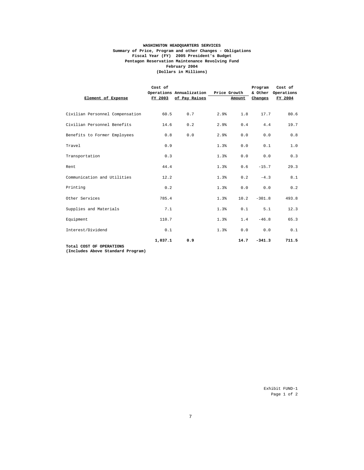#### **WASHINGTON HEADQUARTERS SERVICES Summary of Price, Program and other Changes - Obligations Pentagon Reservation Maintenance Revolving Fund (Dollars in Millions) Fiscal Year (FY) 2005 President's Budget February 2004**

| Element of Expense              | Cost of | Operations Annualization Price Growth<br>FY 2003 of Pay Raises |      | Amount | Program<br>Changes | Cost of<br>& Other Operations<br>FY 2004 |
|---------------------------------|---------|----------------------------------------------------------------|------|--------|--------------------|------------------------------------------|
| Civilian Personnel Compensation | 60.5    | 0.7                                                            | 2.9% | 1.8    | 17.7               | 80.6                                     |
| Civilian Personnel Benefits     | 14.6    | 0.2                                                            | 2.9% | 0.4    | 4.4                | 19.7                                     |
| Benefits to Former Employees    | 0.8     | 0.0                                                            | 2.9% | 0.0    | 0.0                | 0.8                                      |
| Travel                          | 0.9     |                                                                | 1.3% | 0.0    | 0.1                | 1.0                                      |
| Transportation                  | 0.3     |                                                                | 1.3% | 0.0    | 0.0                | 0.3                                      |
| Rent                            | 44.4    |                                                                | 1.3% | 0.6    | $-15.7$            | 29.3                                     |
| Communication and Utilities     | 12.2    |                                                                | 1.3% | 0.2    | $-4.3$             | 8.1                                      |
| Printing                        | 0.2     |                                                                | 1.3% | 0.0    | 0.0                | 0.2                                      |
| Other Services                  | 785.4   |                                                                | 1.3% | 10.2   | $-301.8$           | 493.8                                    |
| Supplies and Materials          | 7.1     |                                                                | 1.3% | 0.1    | 5.1                | 12.3                                     |
| Equipment                       | 110.7   |                                                                | 1.3% | 1.4    | $-46.8$            | 65.3                                     |
| Interest/Dividend               | 0.1     |                                                                | 1.3% | 0.0    | 0.0                | 0.1                                      |
| Total COST OF OPPRTONS          | 1,037.1 | 0.9                                                            |      | 14.7   | $-341.3$           | 711.5                                    |

**Total COST OF OPERATIONS (Includes Above Standard Program)**

 Exhibit FUND-1 Page 1 of 2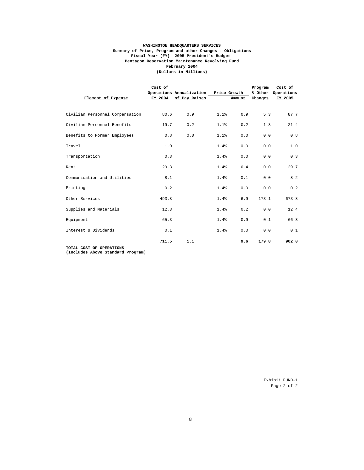#### **(Dollars in Millions) February 2004 WASHINGTON HEADQUARTERS SERVICES Summary of Price, Program and other Changes - Obligations Pentagon Reservation Maintenance Revolving Fund Fiscal Year (FY) 2005 President's Budget**

| Element of Expense              | Cost of | Operations Annualization Price Growth<br>FY 2004 of Pay Raises |      | Amount | Program<br>Changes | Cost of<br>& Other Operations<br>FY 2005 |
|---------------------------------|---------|----------------------------------------------------------------|------|--------|--------------------|------------------------------------------|
| Civilian Personnel Compensation | 80.6    | 0.9                                                            | 1.1% | 0.9    | 5.3                | 87.7                                     |
| Civilian Personnel Benefits     | 19.7    | 0.2                                                            | 1.1% | 0.2    | 1.3                | 21.4                                     |
| Benefits to Former Employees    | 0.8     | 0.0                                                            | 1.1% | 0.0    | 0.0                | 0.8                                      |
| Travel                          | 1.0     |                                                                | 1.4% | 0.0    | 0.0                | 1.0                                      |
| Transportation                  | 0.3     |                                                                | 1.4% | 0.0    | 0.0                | 0.3                                      |
| Rent                            | 29.3    |                                                                | 1.4% | 0.4    | 0.0                | 29.7                                     |
| Communication and Utilities     | 8.1     |                                                                | 1.4% | 0.1    | 0.0                | 8.2                                      |
| Printing                        | 0.2     |                                                                | 1.4% | 0.0    | 0.0                | 0.2                                      |
| Other Services                  | 493.8   |                                                                | 1.4% | 6.9    | 173.1              | 673.8                                    |
| Supplies and Materials          | 12.3    |                                                                | 1.4% | 0.2    | 0.0                | 12.4                                     |
| Equipment                       | 65.3    |                                                                | 1.4% | 0.9    | 0.1                | 66.3                                     |
| Interest & Dividends            | 0.1     |                                                                | 1.4% | 0.0    | 0.0                | 0.1                                      |
| TOTAL COST OF OPERATIONS        | 711.5   | 1.1                                                            |      | 9.6    | 179.8              | 902.0                                    |

**TOTAL COST OF OPERATIONS (Includes Above Standard Program)**

 Exhibit FUND-1 Page 2 of 2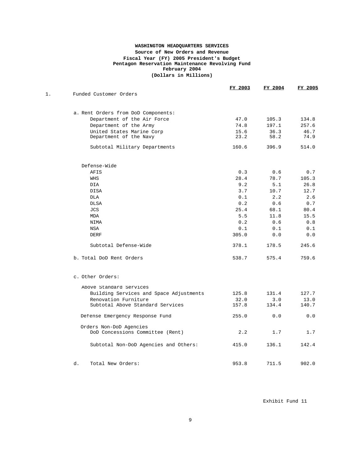#### **(Dollars in Millions) WASHINGTON HEADQUARTERS SERVICES Fiscal Year (FY) 2005 President's Budget Pentagon Reservation Maintenance Revolving Fund Source of New Orders and Revenue February 2004**

|       |                                                             | FY 2003 | FY 2004 | FY 2005 |
|-------|-------------------------------------------------------------|---------|---------|---------|
| $1$ . | Funded Customer Orders                                      |         |         |         |
|       | a. Rent Orders from DoD Components:                         |         |         |         |
|       | Department of the Air Force                                 | 47.0    | 105.3   | 134.8   |
|       | Department of the Army                                      | 74.8    | 197.1   | 257.6   |
|       | United States Marine Corp                                   | 15.6    | 36.3    | 46.7    |
|       | Department of the Navy                                      | 23.2    | 58.2    | 74.9    |
|       | Subtotal Military Departments                               | 160.6   | 396.9   | 514.0   |
|       | Defense-Wide                                                |         |         |         |
|       | <b>AFIS</b>                                                 | 0.3     | 0.6     | 0.7     |
|       | WHS                                                         | 28.4    | 78.7    | 105.3   |
|       | DIA                                                         | 9.2     | 5.1     | 26.8    |
|       | <b>DISA</b>                                                 | 3.7     | 10.7    | 12.7    |
|       | <b>DLA</b>                                                  | 0.1     | 2.2     | 2.6     |
|       | DLSA                                                        | 0.2     | 0.6     | 0.7     |
|       | <b>JCS</b>                                                  | 25.4    | 68.1    | 80.4    |
|       | MDA                                                         | 5.5     | 11.8    | 15.5    |
|       | <b>NIMA</b>                                                 | 0.2     | 0.6     | 0.8     |
|       | <b>NSA</b>                                                  | 0.1     | 0.1     | 0.1     |
|       | <b>DERF</b>                                                 | 305.0   | 0.0     | 0.0     |
|       | Subtotal Defense-Wide                                       | 378.1   | 178.5   | 245.6   |
|       | b. Total DoD Rent Orders                                    | 538.7   | 575.4   | 759.6   |
|       | c. Other Orders:                                            |         |         |         |
|       | Above Standard Services                                     |         |         |         |
|       | Building Services and Space Adjustments                     | 125.8   | 131.4   | 127.7   |
|       | Renovation Furniture                                        | 32.0    | 3.0     | 13.0    |
|       | Subtotal Above Standard Services                            | 157.8   | 134.4   | 140.7   |
|       | Defense Emergency Response Fund                             | 255.0   | 0.0     | 0.0     |
|       | Orders Non-DoD Agencies<br>DoD Concessions Committee (Rent) | 2.2     | 1.7     | 1.7     |
|       |                                                             |         |         |         |
|       | Subtotal Non-DoD Agencies and Others:                       | 415.0   | 136.1   | 142.4   |
|       | d.<br>Total New Orders:                                     | 953.8   | 711.5   | 902.0   |

Exhibit Fund 11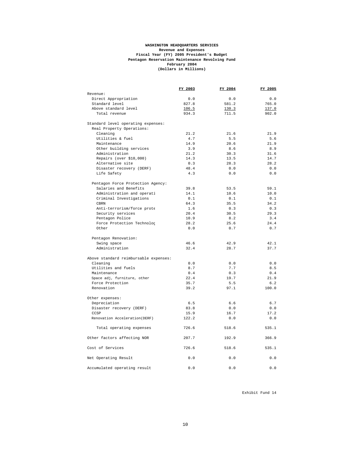#### **February 2004 (Dollars in Millions) WASHINGTON HEADQUARTERS SERVICES Revenue and Expenses Fiscal Year (FY) 2005 President's Budget Pentagon Reservation Maintenance Revolving Fund**

|                                       | FY 2003 | FY 2004 | FY 2005 |
|---------------------------------------|---------|---------|---------|
| Revenue:                              |         |         |         |
| Direct Appropriation                  | 0.0     | 0.0     | 0.0     |
| Standard level                        | 827.8   | 581.2   | 765.0   |
| Above standard level                  | 106.5   | 130.3   | 137.0   |
| Total revenue                         | 934.3   | 711.5   | 902.0   |
| Standard level operating expenses:    |         |         |         |
| Real Property Operations:             |         |         |         |
| Cleaning                              | 21.2    | 21.6    | 21.9    |
| Utilities & fuel                      | 4.7     | 5.5     | 5.6     |
| Maintenance                           | 14.9    | 20.6    | 21.9    |
| Other building services               | 3.9     | 8.6     | 8.9     |
| Administration                        | 21.2    | 30.3    | 31.6    |
| Repairs (over \$10,000)               | 14.3    | 13.5    | 14.7    |
| Alternative site                      | 0.3     | 28.3    | 28.2    |
| Disaster recovery (DERF)              | 48.4    | 0.0     | 0.0     |
| Life Safety                           | 4.3     | 0.0     | 0.0     |
| Pentagon Force Protection Agency:     |         |         |         |
| Salaries and Benefits                 | 39.8    | 53.5    | 59.1    |
| Administration and operati            | 14.1    | 10.6    | 10.0    |
| Criminal Investigations               | 0.1     | 0.1     | 0.1     |
| CBRN                                  | 64.3    | 35.5    | 34.2    |
| Anti-terrorism/force prote            | 1.6     | 0.3     | 0.3     |
| Security services                     | 20.4    | 30.5    | 29.3    |
| Pentagon Police                       | 10.9    | 8.2     | 3.4     |
| Force Protection Technolog            | 28.2    | 25.6    | 24.4    |
| Other                                 | 0.0     | 0.7     | 0.7     |
| Pentagon Renovation:                  |         |         |         |
| Swing space                           | 46.6    | 42.9    | 42.1    |
| Administration                        | 32.4    | 28.7    | 37.7    |
| Above standard reimbursable expenses: |         |         |         |
| Cleaning                              | 0.0     | 0.0     | 0.0     |
| Utilities and fuels                   | 8.7     | 7.7     | 8.5     |
| Maintenance                           | 0.4     | 0.3     | 0.4     |
| Space adj, furniture, other           | 22.4    | 19.7    | 21.9    |
| Force Protection                      | 35.7    | 5.5     | 6.2     |
| Renovation                            | 39.2    | 97.1    | 100.0   |
| Other expenses:                       |         |         |         |
| Depreciation                          | 6.5     | 6.6     | 6.7     |
| Disaster recovery (DERF)              | 83.8    | 0.0     | 0.0     |
| CCSP                                  | 15.9    | 16.7    | 17.2    |
| Renovation Acceleration(DERF)         | 122.2   | 0.0     | 0.0     |
| Total operating expenses              | 726.6   | 518.6   | 535.1   |
| Other factors affecting NOR           | 207.7   | 192.9   | 366.9   |
| Cost of Services                      | 726.6   | 518.6   | 535.1   |
| Net Operating Result                  | 0.0     | 0.0     | 0.0     |
| Accumulated operating result          | 0.0     | 0.0     | 0.0     |

Exhibit Fund 14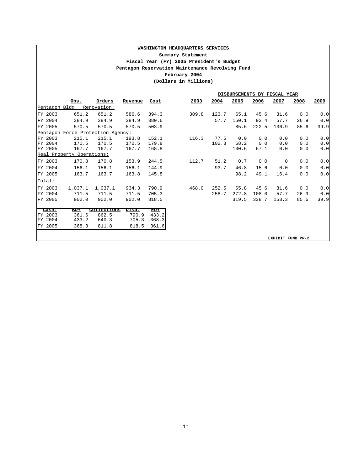#### **WASHINGTON HEADQUARTERS SERVICES Pentagon Reservation Maintenance Revolving Fund Fiscal Year (FY) 2005 President's Budget February 2004 (Dollars in Millions) Summary Statement**

|                    | DISBURSEMENTS BY FISCAL YEAR      |                |                |            |       |       |       |       |                   |      |      |
|--------------------|-----------------------------------|----------------|----------------|------------|-------|-------|-------|-------|-------------------|------|------|
|                    | Obs.                              | Orders         | Revenue        | Cost       | 2003  | 2004  | 2005  | 2006  | 2007              | 2008 | 2009 |
|                    | Pentagon Bldg. Renovation:        |                |                |            |       |       |       |       |                   |      |      |
| FY 2003            | 651.2                             | 651.2          | 586.6          | 394.3      | 309.8 | 123.7 | 65.1  | 45.6  | 31.6              | 0.0  | 0.0  |
| FY 2004            | 384.9                             | 384.9          | 384.9          | 380.6      |       | 57.7  | 150.1 | 92.4  | 57.7              | 26.9 | 0.0  |
| FY 2005            | 570.5                             | 570.5          | 570.5          | 503.9      |       |       | 85.6  | 222.5 | 136.9             | 85.6 | 39.9 |
|                    | Pentagon Force Protection Agency: |                |                |            |       |       |       |       |                   |      |      |
| FY 2003            | 215.1                             | 215.1          | 193.8          | 152.1      | 116.3 | 77.5  | 0.0   | 0.0   | 0.0               | 0.0  | 0.0  |
| FY 2004            | 170.5                             | 170.5          | 170.5          | 179.8      |       | 102.3 | 68.2  | 0.0   | 0.0               | 0.0  | 0.0  |
| FY 2005            | 167.7                             | 167.7          | 167.7          | 168.8      |       |       | 100.6 | 67.1  | 0.0               | 0.0  | 0.0  |
|                    | Real Property Operations:         |                |                |            |       |       |       |       |                   |      |      |
| FY 2003            | 170.8                             | 170.8          | 153.9          | 244.5      | 112.7 | 51.2  | 0.7   | 0.0   | 0                 | 0.0  | 0.0  |
| FY 2004            | 156.1                             | 156.1          | 156.1          | 144.9      |       | 93.7  | 46.8  | 15.6  | 0.0               | 0.0  | 0.0  |
| FY 2005            | 163.7                             | 163.7          | 163.8          | 145.8      |       |       | 98.2  | 49.1  | 16.4              | 0.0  | 0.0  |
| Total:             |                                   |                |                |            |       |       |       |       |                   |      |      |
| FY 2003            | 1,037.1                           | 1,037.1        | 934.3          | 790.9      | 468.0 | 252.5 | 65.8  | 45.6  | 31.6              | 0.0  | 0.0  |
| FY 2004            | 711.5                             | 711.5          | 711.5          | 705.3      |       | 258.7 | 272.8 | 108.0 | 57.7              | 26.9 | 0.0  |
| FY 2005            | 902.0                             | 902.0          | 902.0          | 818.5      |       |       | 319.5 | 338.7 | 153.3             | 85.6 | 39.9 |
|                    |                                   |                |                |            |       |       |       |       |                   |      |      |
| Cash:              | BOY                               | Collections    | Disb.          | <b>EOY</b> |       |       |       |       |                   |      |      |
| FY 2003<br>FY 2004 | 361.6<br>433.2                    | 862.5<br>640.3 | 790.9<br>705.3 | 433.2      |       |       |       |       |                   |      |      |
|                    |                                   |                |                | 368.3      |       |       |       |       |                   |      |      |
| FY 2005            | 368.3                             | 811.8          | 818.5          | 361.6      |       |       |       |       |                   |      |      |
|                    |                                   |                |                |            |       |       |       |       | EXHIBIT FUND PR-2 |      |      |
|                    |                                   |                |                |            |       |       |       |       |                   |      |      |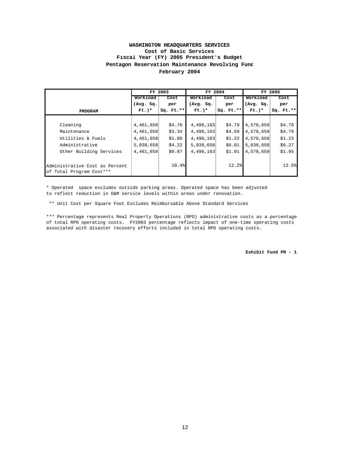#### **February 2004 WASHINGTON HEADQUARTERS SERVICES Pentagon Reservation Maintenance Revolving Fund Cost of Basic Services Fiscal Year (FY) 2005 President's Budget**

|                                |           | FY 2003     | FY 2004   |             |           | FY 2005     |  |  |
|--------------------------------|-----------|-------------|-----------|-------------|-----------|-------------|--|--|
|                                | Workload  | Cost        | Workload  | Cost        | Workload  | Cost        |  |  |
|                                | (Avg. Sq. | per         | (Avg. Sq. | per         | (Avg. Sq. | per         |  |  |
| <b>PROGRAM</b>                 | $Ft.$ )*  | $Sq. Ft.**$ | $Ft.$ )*  | $Sq. Ft.**$ | $Ft.$ )*  | $Sq. Ft.**$ |  |  |
|                                |           |             |           |             |           |             |  |  |
| Cleaning                       | 4,461,658 | \$4.76      | 4,496,163 | \$4.79      | 4,578,659 | \$4.78      |  |  |
| Maintenance                    | 4,461,658 | \$3.34      | 4,496,163 | \$4.59      | 4,578,659 | \$4.79      |  |  |
| Utilities & Fuels              | 4,461,658 | \$1.06      | 4,496,163 | \$1.22      | 4,578,659 | \$1.23      |  |  |
| Administrative                 | 5,038,658 | \$4.22      | 5,038,658 | \$6.01      | 5,038,658 | \$6.27      |  |  |
| Other Building Services        | 4,461,658 | \$0.87      | 4,496,163 | \$1.91      | 4,578,659 | \$1.95      |  |  |
| Administrative Cost as Percent |           | 10.4%       |           | 12.2        |           | 12.5%       |  |  |
| of Total Program Cost***       |           |             |           |             |           |             |  |  |

\* Operated space excludes outside parking areas. Operated space has been adjusted to reflect reduction in O&M service levels within areas under renovation.

\*\* Unit Cost per Square Foot Excludes Reimbursable Above Standard Services

\*\*\* Percentage represents Real Property Operations (RPO) administrative costs as a percentage of total RPO operating costs. FY2003 percentage reflects impact of one-time operating costs associated with disaster recovery efforts included in total RPO operating costs.

**Exhibit Fund PR - 1**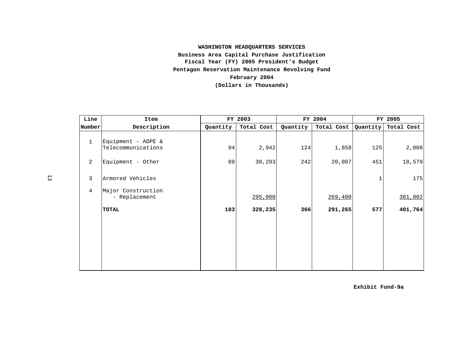## **WASHINGTON HEADQUARTERS SERVICES Business Area Capital Purchase Justification Fiscal Year (FY) 2005 President's Budget Pentagon Reservation Maintenance Revolving Fund February 2004 (Dollars in Thousands)**

| Line           | Item                                     |          | FY 2003    |          | FY 2004    | FY 2005  |            |
|----------------|------------------------------------------|----------|------------|----------|------------|----------|------------|
| Number         | Description                              | Quantity | Total Cost | Quantity | Total Cost | Quantity | Total Cost |
| $\mathbf{1}$   | Equipment - ADPE &<br>Telecommunications | 94       | 2,942      | 124      | 1,858      | 125      | 2,008      |
| 2              | Equipment - Other                        | 89       | 30, 293    | 242      | 20,007     | 451      | 18,579     |
| $\mathbf{3}$   | Armored Vehicles                         |          |            |          |            |          | 175        |
| $\overline{4}$ | Major Construction<br>- Replacement      |          | 295,000    |          | 269,400    |          | 381,002    |
|                | <b>TOTAL</b>                             | 183      | 328,235    | 366      | 291,265    | 577      | 401,764    |
|                |                                          |          |            |          |            |          |            |

**Exhibit Fund-9a**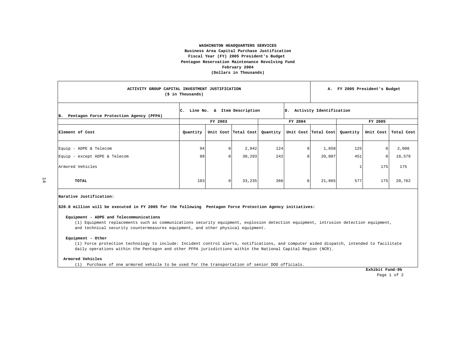#### **WASHINGTON HEADQUARTERS SERVICES Business Area Capital Purchase Justification Fiscal Year (FY) 2005 President's Budget Pentagon Reservation Maintenance Revolving Fund February 2004 (Dollars in Thousands)**

| ACTIVITY GROUP CAPITAL INVESTMENT JUSTIFICATION<br>(\$ in Thousands) |                                |         |                      |          | А.                         |                      | FY 2005 President's Budget |           |            |
|----------------------------------------------------------------------|--------------------------------|---------|----------------------|----------|----------------------------|----------------------|----------------------------|-----------|------------|
| Pentagon Force Protection Agency (PFPA)<br>B.                        | C. Line No. & Item Description |         |                      |          | D. Activity Identification |                      |                            |           |            |
|                                                                      |                                | FY 2003 |                      |          | FY 2004                    |                      |                            | FY 2005   |            |
| Element of Cost                                                      | Quantity                       |         | Unit Cost Total Cost | Quantity |                            | Unit Cost Total Cost | Quantity                   | Unit Cost | Total Cost |
| Equip - ADPE & Telecom                                               | 94                             |         | 2,942                | 124      |                            | 1,858                | 125                        |           | 2,008      |
| Equip - except ADPE & Telecom                                        | 89                             |         | 30,293               | 242      |                            | 20,007               | 451                        |           | 18,579     |
| Armored Vehicles                                                     |                                |         |                      |          |                            |                      |                            | 175       | 175        |
| TOTAL                                                                | 183                            |         | 33,235               | 366      |                            | 21,865               | 577                        | 175       | 20,762     |

#### **Narative Justification:**

**\$20.8 million will be executed in FY 2005 for the following Pentagon Force Protection Agency initiatives:**

#### **Equipment - ADPE and Telecommunications**

(1) Equipment replacements such as communications security equipment, explosion detection equipment, intrusion detection equipment, and technical security countermeasures equipment, and other physical equipment.

#### **Equipment - Other**

(1) Force protection technology to include: Incident control alerts, notifications, and computer aided dispatch, intended to facilitate daily operations within the Pentagon and other PFPA jurisdictions within the National Capital Region (NCR).

#### **Armored Vehicles**

(1) Purchase of one armored vehicle to be used for the transportation of senior DOD officials.

 **Exhibit Fund-9b**  Page 1 of 2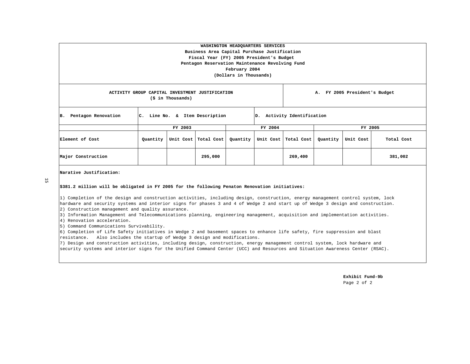| WASHINGTON HEADQUARTERS SERVICES<br>Business Area Capital Purchase Justification<br>Fiscal Year (FY) 2005 President's Budget<br>Pentagon Reservation Maintenance Revolving Fund<br>February 2004<br>(Dollars in Thousands) |          |         |                                |          |         |                            |          |           |            |
|----------------------------------------------------------------------------------------------------------------------------------------------------------------------------------------------------------------------------|----------|---------|--------------------------------|----------|---------|----------------------------|----------|-----------|------------|
| A. FY 2005 President's Budget<br>ACTIVITY GROUP CAPITAL INVESTMENT JUSTIFICATION<br>$(\xi in Theusands)$                                                                                                                   |          |         |                                |          |         |                            |          |           |            |
| Pentagon Renovation<br>B.                                                                                                                                                                                                  |          |         | C. Line No. & Item Description |          |         | D. Activity Identification |          |           |            |
|                                                                                                                                                                                                                            |          | FY 2003 |                                |          | FY 2004 |                            |          | FY 2005   |            |
| Element of Cost                                                                                                                                                                                                            | Quantity |         | Unit Cost Total Cost           | Quantity |         | Unit Cost   Total Cost     | Quantity | Unit Cost | Total Cost |
| Major Construction                                                                                                                                                                                                         |          |         | 295,000                        |          |         | 269,400                    |          |           | 381,002    |

**Narative Justification:**

 $\overline{5}$ 

#### **\$381.2 million will be obligated in FY 2005 for the following Penaton Renovation initiatives:**

1) Completion of the design and construction activities, including design, construction, energy management control system, lock hardware and security systems and interior signs for phases 3 and 4 of Wedge 2 and start up of Wedge 3 design and construction.

2) Construction management and quality assurance.

3) Information Management and Telecommunications planning, engineering management, acquisition and implementation activities.

4) Renovation acceleration.

5) Command Communications Survivability.

6) Completion of Life Safety initiatives in Wedge 2 and basement spaces to enhance life safety, fire suppression and blast resistance. Also includes the startup of Wedge 3 design and modifications.

7) Design and construction activities, including design, construction, energy management control system, lock hardware and security systems and interior signs for the Unified Command Center (UCC) and Resources and Situation Awareness Center (RSAC).

> **Exhibit Fund-9b**  Page 2 of 2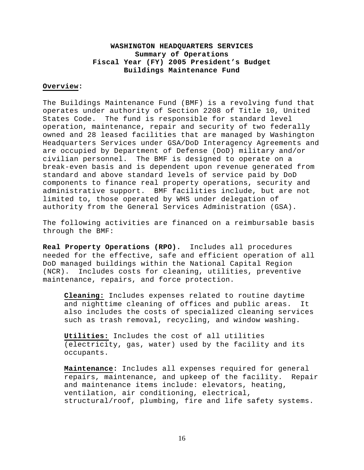## **WASHINGTON HEADQUARTERS SERVICES Summary of Operations Fiscal Year (FY) 2005 President's Budget Buildings Maintenance Fund**

#### **Overview:**

The Buildings Maintenance Fund (BMF) is a revolving fund that operates under authority of Section 2208 of Title 10, United States Code. The fund is responsible for standard level operation, maintenance, repair and security of two federally owned and 28 leased facilities that are managed by Washington Headquarters Services under GSA/DoD Interagency Agreements and are occupied by Department of Defense (DoD) military and/or civilian personnel. The BMF is designed to operate on a break-even basis and is dependent upon revenue generated from standard and above standard levels of service paid by DoD components to finance real property operations, security and administrative support. BMF facilities include, but are not limited to, those operated by WHS under delegation of authority from the General Services Administration (GSA).

The following activities are financed on a reimbursable basis through the BMF:

**Real Property Operations (RPO).** Includes all procedures needed for the effective, safe and efficient operation of all DoD managed buildings within the National Capital Region (NCR). Includes costs for cleaning, utilities, preventive maintenance, repairs, and force protection.

**Cleaning:** Includes expenses related to routine daytime and nighttime cleaning of offices and public areas. It also includes the costs of specialized cleaning services such as trash removal, recycling, and window washing.

**Utilities:** Includes the cost of all utilities (electricity, gas, water) used by the facility and its occupants.

**Maintenance:** Includes all expenses required for general repairs, maintenance, and upkeep of the facility. Repair and maintenance items include: elevators, heating, ventilation, air conditioning, electrical, structural/roof, plumbing, fire and life safety systems.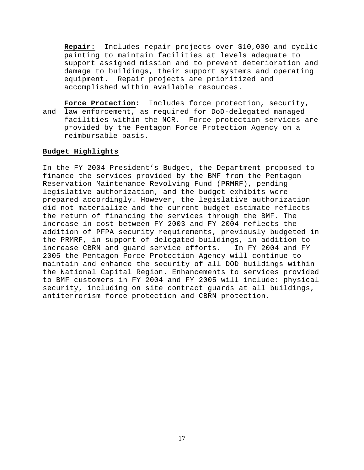**Repair:** Includes repair projects over \$10,000 and cyclic painting to maintain facilities at levels adequate to support assigned mission and to prevent deterioration and damage to buildings, their support systems and operating equipment. Repair projects are prioritized and accomplished within available resources.

**Force Protection:** Includes force protection, security, and law enforcement, as required for DoD-delegated managed facilities within the NCR. Force protection services are provided by the Pentagon Force Protection Agency on a reimbursable basis.

#### **Budget Highlights**

In the FY 2004 President's Budget, the Department proposed to finance the services provided by the BMF from the Pentagon Reservation Maintenance Revolving Fund (PRMRF), pending legislative authorization, and the budget exhibits were prepared accordingly. However, the legislative authorization did not materialize and the current budget estimate reflects the return of financing the services through the BMF. The increase in cost between FY 2003 and FY 2004 reflects the addition of PFPA security requirements, previously budgeted in the PRMRF, in support of delegated buildings, in addition to increase CBRN and guard service efforts. In FY 2004 and FY 2005 the Pentagon Force Protection Agency will continue to maintain and enhance the security of all DOD buildings within the National Capital Region. Enhancements to services provided to BMF customers in FY 2004 and FY 2005 will include: physical security, including on site contract guards at all buildings, antiterrorism force protection and CBRN protection.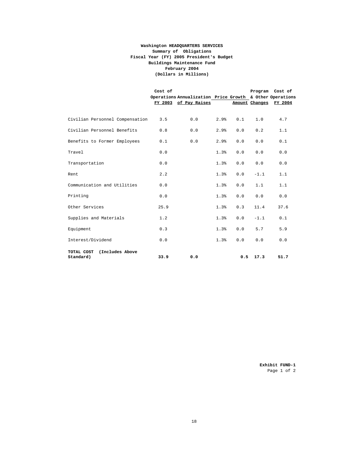#### **Washington HEADQUARTERS SERVICES Summary of Obligations Buildings Maintenance Fund (Dollars in Millions) Fiscal Year (FY) 2005 President's Budget February 2004**

|                                            | Cost of | Operations Annualization Price Growth & Other Operations<br>FY 2003 of Pay Raises |      |     |        | Program Cost of<br>Amount Changes FY 2004 |
|--------------------------------------------|---------|-----------------------------------------------------------------------------------|------|-----|--------|-------------------------------------------|
| Civilian Personnel Compensation            | 3.5     | 0.0                                                                               | 2.9% | 0.1 | 1.0    | 4.7                                       |
| Civilian Personnel Benefits                | 0.8     | 0.0                                                                               | 2.9% | 0.0 | 0.2    | 1.1                                       |
| Benefits to Former Employees               | 0.1     | 0.0                                                                               | 2.9% | 0.0 | 0.0    | 0.1                                       |
| Travel                                     | 0.0     |                                                                                   | 1.3% | 0.0 | 0.0    | 0.0                                       |
| Transportation                             | 0.0     |                                                                                   | 1.3% | 0.0 | 0.0    | 0.0                                       |
| Rent                                       | 2.2     |                                                                                   | 1.3% | 0.0 | $-1.1$ | 1.1                                       |
| Communication and Utilities                | 0.0     |                                                                                   | 1.3% | 0.0 | 1.1    | 1.1                                       |
| Printing                                   | 0.0     |                                                                                   | 1.3% | 0.0 | 0.0    | 0.0                                       |
| Other Services                             | 25.9    |                                                                                   | 1.3% | 0.3 | 11.4   | 37.6                                      |
| Supplies and Materials                     | 1.2     |                                                                                   | 1.3% | 0.0 | $-1.1$ | 0.1                                       |
| Equipment                                  | 0.3     |                                                                                   | 1.3% | 0.0 | 5.7    | 5.9                                       |
| Interest/Dividend                          | 0.0     |                                                                                   | 1.3% | 0.0 | 0.0    | 0.0                                       |
| (Includes Above<br>TOTAL COST<br>Standard) | 33.9    | 0.0                                                                               |      | 0.5 | 17.3   | 51.7                                      |

 **Exhibit FUND-1** Page 1 of 2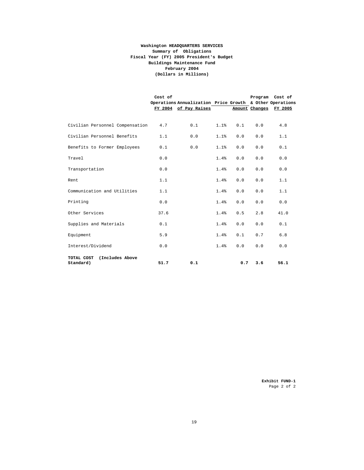#### **Washington HEADQUARTERS SERVICES Summary of Obligations Buildings Maintenance Fund (Dollars in Millions) Fiscal Year (FY) 2005 President's Budget February 2004**

|                                            | Cost of |                                                          |      |     | Program Cost of |         |
|--------------------------------------------|---------|----------------------------------------------------------|------|-----|-----------------|---------|
|                                            |         | Operations Annualization Price Growth & Other Operations |      |     |                 |         |
|                                            |         | FY 2004 of Pay Raises                                    |      |     | Amount Changes  | FY 2005 |
|                                            |         |                                                          |      |     |                 |         |
| Civilian Personnel Compensation            | 4.7     | 0.1                                                      | 1.1% | 0.1 | 0.0             | 4.8     |
| Civilian Personnel Benefits                | 1.1     | 0.0                                                      | 1.1% | 0.0 | 0.0             | 1.1     |
| Benefits to Former Employees               | 0.1     | 0.0                                                      | 1.1% | 0.0 | 0.0             | 0.1     |
| Travel                                     | 0.0     |                                                          | 1.4% | 0.0 | 0.0             | 0.0     |
| Transportation                             | 0.0     |                                                          | 1.4% | 0.0 | 0.0             | 0.0     |
| Rent                                       | 1.1     |                                                          | 1.4% | 0.0 | 0.0             | 1.1     |
| Communication and Utilities                | 1.1     |                                                          | 1.4% | 0.0 | 0.0             | 1.1     |
| Printing                                   | 0.0     |                                                          | 1.4% | 0.0 | 0.0             | 0.0     |
| Other Services                             | 37.6    |                                                          | 1.4% | 0.5 | 2.8             | 41.0    |
| Supplies and Materials                     | 0.1     |                                                          | 1.4% | 0.0 | 0.0             | 0.1     |
| Equipment                                  | 5.9     |                                                          | 1.4% | 0.1 | 0.7             | 6.8     |
| Interest/Dividend                          | 0.0     |                                                          | 1.4% | 0.0 | 0.0             | 0.0     |
| TOTAL COST<br>(Includes Above<br>Standard) | 51.7    | 0.1                                                      |      | 0.7 | 3.6             | 56.1    |

 **Exhibit FUND-1** Page 2 of 2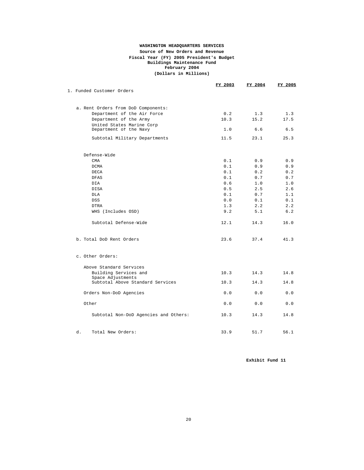#### **(Dollars in Millions) WASHINGTON HEADQUARTERS SERVICES Fiscal Year (FY) 2005 President's Budget Buildings Maintenance Fund Source of New Orders and Revenue February 2004**

|                                       | <u>FY 2003</u> | FY 2004 | <u>FY 2005</u> |
|---------------------------------------|----------------|---------|----------------|
| 1. Funded Customer Orders             |                |         |                |
| a. Rent Orders from DoD Components:   |                |         |                |
| Department of the Air Force           | 0.2            | 1.3     | 1.3            |
| Department of the Army                | 10.3           | 15.2    | 17.5           |
| United States Marine Corp             |                |         |                |
| Department of the Navy                | 1.0            | 6.6     | 6.5            |
| Subtotal Military Departments         | 11.5           | 23.1    | 25.3           |
| Defense-Wide                          |                |         |                |
| CMA                                   | 0.1            | 0.9     | 0.9            |
| DCMA                                  | 0.1            | 0.9     | 0.9            |
| DECA                                  | 0.1            | 0.2     | 0.2            |
| <b>DFAS</b>                           | 0.1            | 0.7     | 0.7            |
| DIA                                   | 0.6            | 1.0     | 1.0            |
| <b>DISA</b>                           | 0.5            | 2.5     | 2.6            |
| DLA                                   | 0.1            | 0.7     | 1.1            |
| <b>DSS</b>                            | 0.0            | 0.1     | 0.1            |
| <b>DTRA</b>                           | 1.3            | 2.2     | 2.2            |
| WHS (Includes OSD)                    | 9.2            | 5.1     | 6.2            |
| Subtotal Defense-Wide                 | 12.1           | 14.3    | 16.0           |
| b. Total DoD Rent Orders              | 23.6           | 37.4    | 41.3           |
| c. Other Orders:                      |                |         |                |
| Above Standard Services               |                |         |                |
| Building Services and                 | 10.3           | 14.3    | 14.8           |
| Space Adjustments                     |                |         |                |
| Subtotal Above Standard Services      | 10.3           | 14.3    | 14.8           |
| Orders Non-DoD Agencies               | 0.0            | 0.0     | 0.0            |
| Other                                 | 0.0            | 0.0     | 0.0            |
| Subtotal Non-DoD Agencies and Others: | 10.3           | 14.3    | 14.8           |
| d.<br>Total New Orders:               | 33.9           | 51.7    | 56.1           |
|                                       |                |         |                |

**Exhibit Fund 11**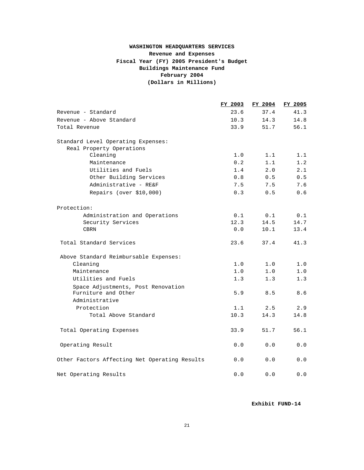## **WASHINGTON HEADQUARTERS SERVICES Revenue and Expenses Fiscal Year (FY) 2005 President's Budget (Dollars in Millions) Buildings Maintenance Fund February 2004**

|                                               | FY 2003 | FY 2004 | FY 2005 |
|-----------------------------------------------|---------|---------|---------|
| Revenue - Standard                            | 23.6    | 37.4    | 41.3    |
| Revenue - Above Standard                      | 10.3    | 14.3    | 14.8    |
| Total Revenue                                 | 33.9    | 51.7    | 56.1    |
| Standard Level Operating Expenses:            |         |         |         |
| Real Property Operations                      |         |         |         |
| Cleaning                                      | 1.0     | 1.1     | 1.1     |
| Maintenance                                   | 0.2     | 1.1     | 1.2     |
| Utilities and Fuels                           | 1.4     | 2.0     | 2.1     |
| Other Building Services                       | 0.8     | 0.5     | 0.5     |
| Administrative - RE&F                         | 7.5     | 7.5     | 7.6     |
| Repairs (over \$10,000)                       | 0.3     | 0.5     | 0.6     |
| Protection:                                   |         |         |         |
| Administration and Operations                 | 0.1     | 0.1     | 0.1     |
| Security Services                             | 12.3    | 14.5    | 14.7    |
| <b>CBRN</b>                                   | 0.0     | 10.1    | 13.4    |
| Total Standard Services                       | 23.6    | 37.4    | 41.3    |
| Above Standard Reimbursable Expenses:         |         |         |         |
| Cleaning                                      | 1.0     | 1.0     | 1.0     |
| Maintenance                                   | 1.0     | 1.0     | 1.0     |
| Utilities and Fuels                           | 1.3     | 1.3     | 1.3     |
| Space Adjustments, Post Renovation            |         |         |         |
| Furniture and Other<br>Administrative         | 5.9     | 8.5     | 8.6     |
| Protection                                    | 1.1     | 2.5     | 2.9     |
| Total Above Standard                          | 10.3    | 14.3    | 14.8    |
|                                               |         |         |         |
| Total Operating Expenses                      | 33.9    | 51.7    | 56.1    |
| Operating Result                              | 0.0     | 0.0     | 0.0     |
| Other Factors Affecting Net Operating Results | 0.0     | 0.0     | 0.0     |
| Net Operating Results                         | 0.0     | 0.0     | 0.0     |

**Exhibit FUND-14**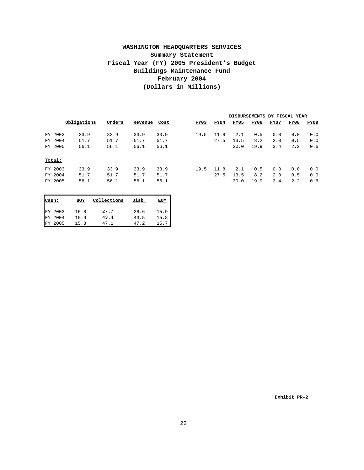## **WASHINGTON HEADQUARTERS SERVICES Fiscal Year (FY) 2005 President's Budget Summary Statement Buildings Maintenance Fund (Dollars in Millions) February 2004**

|         |             |        |         |      | DISBURSEMENTS BY FISCAL YEAR |      |      |      |      |      |      |
|---------|-------------|--------|---------|------|------------------------------|------|------|------|------|------|------|
|         | Obligations | Orders | Revenue | Cost | FY03                         | FY04 | FY05 | FY06 | FY07 | FY08 | FY09 |
| FY 2003 | 33.9        | 33.9   | 33.9    | 33.9 | 19.5                         | 11.8 | 2.1  | 0.5  | 0.0  | 0.0  | 0.0  |
| FY 2004 | 51.7        | 51.7   | 51.7    | 51.7 |                              | 27.5 | 13.5 | 8.2  | 2.0  | 0.5  | 0.0  |
| FY 2005 | 56.1        | 56.1   | 56.1    | 56.1 |                              |      | 30.0 | 19.9 | 3.4  | 2.2  | 0.6  |
| Total:  |             |        |         |      |                              |      |      |      |      |      |      |
| FY 2003 | 33.9        | 33.9   | 33.9    | 33.9 | 19.5                         | 11.8 | 2.1  | 0.5  | 0.0  | 0.0  | 0.0  |
| FY 2004 | 51.7        | 51.7   | 51.7    | 51.7 |                              | 27.5 | 13.5 | 8.2  | 2.0  | 0.5  | 0.0  |
| FY 2005 | 56.1        | 56.1   | 56.1    | 56.1 |                              |      | 30.0 | 19.9 | 3.4  | 2.2  | 0.6  |
|         |             |        |         |      |                              |      |      |      |      |      |      |

| Cash: |         | BOY  | Collections | Disb. | <b>EOY</b> |
|-------|---------|------|-------------|-------|------------|
|       | FY 2003 | 16.8 | 27.7        | 28.6  | 15.9       |
|       | FY 2004 | 15.9 | 43.4        | 43.5  | 15.8       |
|       | FY 2005 | 15.8 | 47.1        | 47.2  | 15.7       |

**Exhibit PR-2**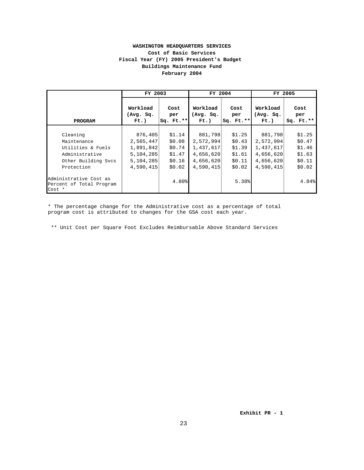#### **WASHINGTON HEADQUARTERS SERVICES Buildings Maintenance Fund Fiscal Year (FY) 2005 President's Budget Cost of Basic Services February 2004**

|                                                              | FY 2003                          |                            | FY 2004                          |                              |                                  | FY 2005                    |
|--------------------------------------------------------------|----------------------------------|----------------------------|----------------------------------|------------------------------|----------------------------------|----------------------------|
| PROGRAM                                                      | Workload<br>(Avg. Sq.<br>$Ft.$ ) | Cost<br>per<br>$Sq. Ft.**$ | Workload<br>(Avg. Sq.<br>$Ft.$ ) | Cost<br>per<br>$Sq.$ $Ft.**$ | Workload<br>(Avg. Sq.<br>$Ft.$ ) | Cost<br>per<br>$Sq. Ft.**$ |
| Cleaning                                                     | 876,405                          | \$1.14                     | 881,798                          | \$1.25                       | 881,798                          | \$1.25                     |
| Maintenance                                                  | 2,565,447                        | \$0.08                     | 2,572,994                        | \$0.43                       | 2,572,994                        | \$0.47                     |
| Utilities & Fuels                                            | 1,891,842                        | \$0.74                     | 1,437,617                        | \$1.39                       | 1,437,617                        | \$1.46                     |
| Administrative                                               | 5,104,285                        | \$1.47                     | 4,656,620                        | \$1.61                       | 4,656,620                        | \$1.63                     |
| Other Building Svcs                                          | 5, 104, 285                      | \$0.16                     | 4,656,620                        | \$0.11                       | 4,656,620                        | \$0.11                     |
| Protection                                                   | 4,590,415                        | \$0.02                     | 4,590,415                        | \$0.02                       | 4,590,415                        | \$0.02                     |
| Administrative Cost as<br>Percent of Total Program<br>Cost * |                                  | 4.80%                      |                                  | 5.38%                        |                                  | 4.84%                      |

\* The percentage change for the Administrative cost as a percentage of total program cost is attributed to changes for the GSA cost each year.

\*\* Unit Cost per Square Foot Excludes Reimbursable Above Standard Services

**Exhibit PR - 1**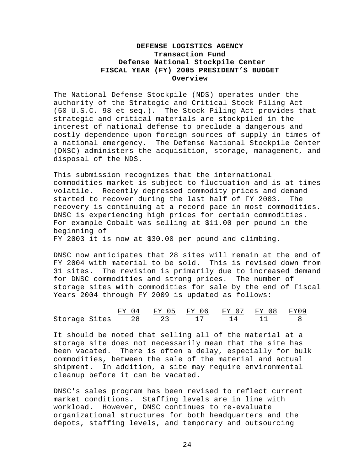## **DEFENSE LOGISTICS AGENCY Transaction Fund Defense National Stockpile Center FISCAL YEAR (FY) 2005 PRESIDENT'S BUDGET Overview**

The National Defense Stockpile (NDS) operates under the authority of the Strategic and Critical Stock Piling Act (50 U.S.C. 98 et seq.). The Stock Piling Act provides that strategic and critical materials are stockpiled in the interest of national defense to preclude a dangerous and costly dependence upon foreign sources of supply in times of a national emergency. The Defense National Stockpile Center (DNSC) administers the acquisition, storage, management, and disposal of the NDS.

This submission recognizes that the international commodities market is subject to fluctuation and is at times volatile. Recently depressed commodity prices and demand started to recover during the last half of FY 2003. The recovery is continuing at a record pace in most commodities. DNSC is experiencing high prices for certain commodities. For example Cobalt was selling at \$11.00 per pound in the beginning of

FY 2003 it is now at \$30.00 per pound and climbing.

DNSC now anticipates that 28 sites will remain at the end of FY 2004 with material to be sold. This is revised down from 31 sites. The revision is primarily due to increased demand for DNSC commodities and strong prices. The number of storage sites with commodities for sale by the end of Fiscal Years 2004 through FY 2009 is updated as follows:

|                     |  | FY 04 FY 05 FY 06 FY 07 FY 08 FY09 |  |  |
|---------------------|--|------------------------------------|--|--|
| Storage Sites 28 23 |  |                                    |  |  |

It should be noted that selling all of the material at a storage site does not necessarily mean that the site has been vacated. There is often a delay, especially for bulk commodities, between the sale of the material and actual shipment. In addition, a site may require environmental cleanup before it can be vacated.

DNSC's sales program has been revised to reflect current market conditions. Staffing levels are in line with workload. However, DNSC continues to re-evaluate organizational structures for both headquarters and the depots, staffing levels, and temporary and outsourcing

24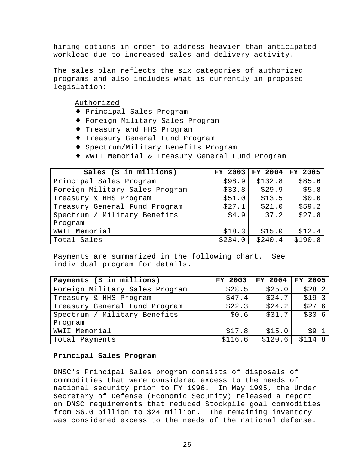hiring options in order to address heavier than anticipated workload due to increased sales and delivery activity.

The sales plan reflects the six categories of authorized programs and also includes what is currently in proposed legislation:

Authorized

- ♦ Principal Sales Program
- ♦ Foreign Military Sales Program
- ♦ Treasury and HHS Program
- ♦ Treasury General Fund Program
- ♦ Spectrum/Military Benefits Program
- ♦ WWII Memorial & Treasury General Fund Program

| Sales $(\frac{1}{2}$ in millions) | FY 2003 | FY 2004 FY 2005 |         |
|-----------------------------------|---------|-----------------|---------|
| Principal Sales Program           | \$98.9  | \$132.8         | \$85.6  |
| Foreign Military Sales Program    | \$33.8  | \$29.9          | \$5.8   |
| Treasury & HHS Program            | \$51.0  | \$13.5          | \$0.0   |
| Treasury General Fund Program     | \$27.1  | \$21.0          | \$59.2  |
| Spectrum / Military Benefits      | \$4.9   | 37.2            | \$27.8  |
| Program                           |         |                 |         |
| WWII Memorial                     | \$18.3  | \$15.0          | \$12.4  |
| Total Sales                       | \$234.0 | \$240.4         | \$190.8 |

Payments are summarized in the following chart. See individual program for details.

| Payments (\$ in millions)      | FY 2003 | FY 2004 | FY 2005 |
|--------------------------------|---------|---------|---------|
| Foreign Military Sales Program | \$28.5  | \$25.0  | \$28.2  |
| Treasury & HHS Program         | \$47.4  | \$24.7  | \$19.3  |
| Treasury General Fund Program  | \$22.3  | \$24.2  | \$27.6  |
| Spectrum / Military Benefits   | \$0.6   | \$31.7  | \$30.6  |
| Program                        |         |         |         |
| WWII Memorial                  | \$17.8  | \$15.0  | \$9.1   |
| Total Payments                 | \$116.6 | \$120.6 | \$114.8 |

#### **Principal Sales Program**

DNSC's Principal Sales program consists of disposals of commodities that were considered excess to the needs of national security prior to FY 1996. In May 1995, the Under Secretary of Defense (Economic Security) released a report on DNSC requirements that reduced Stockpile goal commodities from \$6.0 billion to \$24 million. The remaining inventory was considered excess to the needs of the national defense.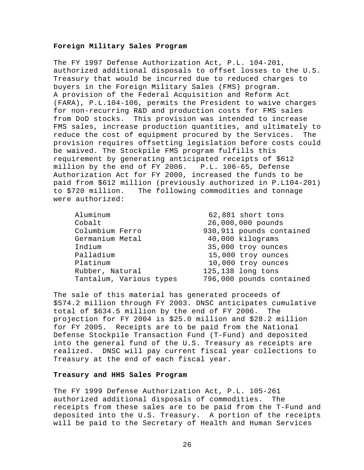#### **Foreign Military Sales Program**

The FY 1997 Defense Authorization Act, P.L. 104-201, authorized additional disposals to offset losses to the U.S. Treasury that would be incurred due to reduced charges to buyers in the Foreign Military Sales (FMS) program. A provision of the Federal Acquisition and Reform Act (FARA), P.L.104-106, permits the President to waive charges for non-recurring R&D and production costs for FMS sales from DoD stocks. This provision was intended to increase FMS sales, increase production quantities, and ultimately to reduce the cost of equipment procured by the Services. The provision requires offsetting legislation before costs could be waived. The Stockpile FMS program fulfills this requirement by generating anticipated receipts of \$612 million by the end of FY 2006. P.L. 106-65, Defense Authorization Act for FY 2000, increased the funds to be paid from \$612 million (previously authorized in P.L104-201) to \$720 million. The following commodities and tonnage were authorized:

| Aluminum                | 62,881 short tons        |
|-------------------------|--------------------------|
| Cobalt                  | 26,000,000 pounds        |
| Columbium Ferro         | 930,911 pounds contained |
| Germanium Metal         | 40,000 kilograms         |
| Indium                  | 35,000 troy ounces       |
| Palladium               | 15,000 troy ounces       |
| Platinum                | 10,000 troy ounces       |
| Rubber, Natural         | 125,138 long tons        |
| Tantalum, Various types | 796,000 pounds contained |

The sale of this material has generated proceeds of \$574.2 million through FY 2003. DNSC anticipates cumulative total of \$634.5 million by the end of FY 2006. The projection for FY 2004 is \$25.0 million and \$28.2 million for FY 2005. Receipts are to be paid from the National Defense Stockpile Transaction Fund (T-Fund) and deposited into the general fund of the U.S. Treasury as receipts are realized. DNSC will pay current fiscal year collections to Treasury at the end of each fiscal year.

#### **Treasury and HHS Sales Program**

The FY 1999 Defense Authorization Act, P.L. 105-261 authorized additional disposals of commodities. The receipts from these sales are to be paid from the T-Fund and deposited into the U.S. Treasury. A portion of the receipts will be paid to the Secretary of Health and Human Services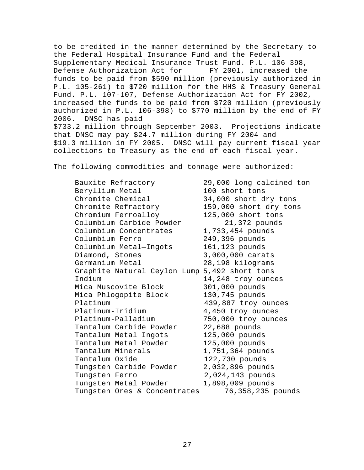to be credited in the manner determined by the Secretary to the Federal Hospital Insurance Fund and the Federal Supplementary Medical Insurance Trust Fund. P.L. 106-398, Defense Authorization Act for FY 2001, increased the funds to be paid from \$590 million (previously authorized in P.L. 105-261) to \$720 million for the HHS & Treasury General Fund. P.L. 107-107, Defense Authorization Act for FY 2002, increased the funds to be paid from \$720 million (previously authorized in P.L. 106-398) to \$770 million by the end of FY 2006. DNSC has paid \$733.2 million through September 2003. Projections indicate that DNSC may pay \$24.7 million during FY 2004 and \$19.3 million in FY 2005. DNSC will pay current fiscal year collections to Treasury as the end of each fiscal year.

The following commodities and tonnage were authorized:

Bauxite Refractory 29,000 long calcined ton Beryllium Metal 100 short tons Chromite Chemical 34,000 short dry tons Chromite Refractory 159,000 short dry tons Chromium Ferroalloy 125,000 short tons Columbium Carbide Powder 21,372 pounds Columbium Concentrates 1,733,454 pounds Columbium Ferro 249,396 pounds Columbium Metal—Ingots 161,123 pounds Diamond, Stones 3,000,000 carats Germanium Metal 28,198 kilograms Graphite Natural Ceylon Lump 5,492 short tons Indium 14,248 troy ounces Mica Muscovite Block 301,000 pounds Mica Phlogopite Block 130,745 pounds Platinum 439,887 troy ounces Platinum-Iridium 4,450 troy ounces Platinum-Palladium 750,000 troy ounces Tantalum Carbide Powder 22,688 pounds Tantalum Metal Ingots 125,000 pounds Tantalum Metal Powder 125,000 pounds Tantalum Minerals 1,751,364 pounds Tantalum Oxide 122,730 pounds Tungsten Carbide Powder 2,032,896 pounds Tungsten Ferro 2,024,143 pounds Tungsten Metal Powder 1,898,009 pounds Tungsten Ores & Concentrates 76,358,235 pounds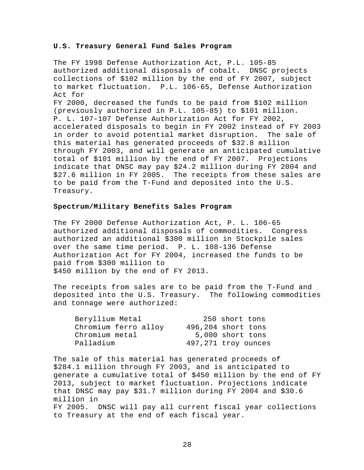#### **U.S. Treasury General Fund Sales Program**

The FY 1998 Defense Authorization Act, P.L. 105-85 authorized additional disposals of cobalt. DNSC projects collections of \$102 million by the end of FY 2007, subject to market fluctuation. P.L. 106-65, Defense Authorization Act for FY 2000, decreased the funds to be paid from \$102 million (previously authorized in P.L. 105-85) to \$101 million. P. L. 107-107 Defense Authorization Act for FY 2002, accelerated disposals to begin in FY 2002 instead of FY 2003 in order to avoid potential market disruption. The sale of this material has generated proceeds of \$32.8 million through FY 2003, and will generate an anticipated cumulative total of \$101 million by the end of FY 2007. Projections indicate that DNSC may pay \$24.2 million during FY 2004 and \$27.6 million in FY 2005. The receipts from these sales are to be paid from the T-Fund and deposited into the U.S. Treasury.

#### **Spectrum/Military Benefits Sales Program**

The FY 2000 Defense Authorization Act, P. L. 106-65 authorized additional disposals of commodities. Congress authorized an additional \$300 million in Stockpile sales over the same time period. P. L. 108-136 Defense Authorization Act for FY 2004, increased the funds to be paid from \$300 million to \$450 million by the end of FY 2013.

The receipts from sales are to be paid from the T-Fund and deposited into the U.S. Treasury. The following commodities and tonnage were authorized:

| Beryllium Metal      | 250 short tons      |
|----------------------|---------------------|
| Chromium ferro alloy | 496,204 short tons  |
| Chromium metal       | 5,000 short tons    |
| Palladium            | 497,271 troy ounces |

The sale of this material has generated proceeds of \$284.1 million through FY 2003, and is anticipated to generate a cumulative total of \$450 million by the end of FY 2013, subject to market fluctuation. Projections indicate that DNSC may pay \$31.7 million during FY 2004 and \$30.6 million in FY 2005. DNSC will pay all current fiscal year collections to Treasury at the end of each fiscal year.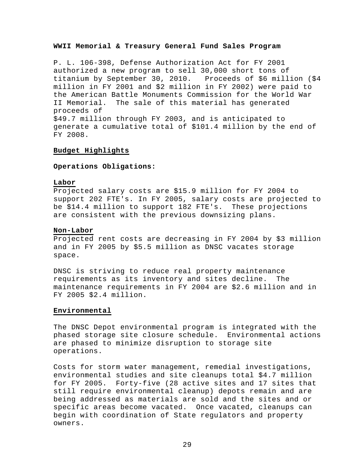#### **WWII Memorial & Treasury General Fund Sales Program**

P. L. 106-398, Defense Authorization Act for FY 2001 authorized a new program to sell 30,000 short tons of titanium by September 30, 2010. Proceeds of \$6 million (\$4 million in FY 2001 and \$2 million in FY 2002) were paid to the American Battle Monuments Commission for the World War II Memorial. The sale of this material has generated proceeds of \$49.7 million through FY 2003, and is anticipated to generate a cumulative total of \$101.4 million by the end of FY 2008.

#### **Budget Highlights**

## **Operations Obligations:**

#### **Labor**

Projected salary costs are \$15.9 million for FY 2004 to support 202 FTE's. In FY 2005, salary costs are projected to be \$14.4 million to support 182 FTE's. These projections are consistent with the previous downsizing plans.

#### **Non-Labor**

Projected rent costs are decreasing in FY 2004 by \$3 million and in FY 2005 by \$5.5 million as DNSC vacates storage space.

DNSC is striving to reduce real property maintenance requirements as its inventory and sites decline. The maintenance requirements in FY 2004 are \$2.6 million and in FY 2005 \$2.4 million.

#### **Environmental**

The DNSC Depot environmental program is integrated with the phased storage site closure schedule. Environmental actions are phased to minimize disruption to storage site operations.

Costs for storm water management, remedial investigations, environmental studies and site cleanups total \$4.7 million for FY 2005. Forty-five (28 active sites and 17 sites that still require environmental cleanup) depots remain and are being addressed as materials are sold and the sites and or specific areas become vacated. Once vacated, cleanups can begin with coordination of State regulators and property owners.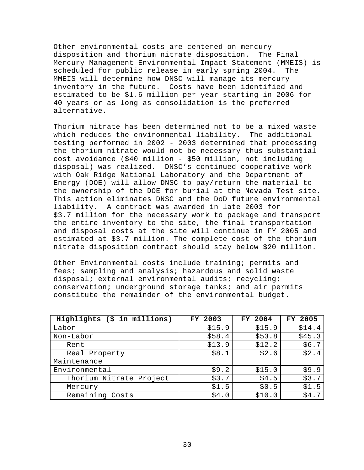Other environmental costs are centered on mercury disposition and thorium nitrate disposition. The Final Mercury Management Environmental Impact Statement (MMEIS) is scheduled for public release in early spring 2004. The MMEIS will determine how DNSC will manage its mercury inventory in the future. Costs have been identified and estimated to be \$1.6 million per year starting in 2006 for 40 years or as long as consolidation is the preferred alternative.

Thorium nitrate has been determined not to be a mixed waste which reduces the environmental liability. The additional testing performed in 2002 - 2003 determined that processing the thorium nitrate would not be necessary thus substantial cost avoidance (\$40 million - \$50 million, not including disposal) was realized. DNSC's continued cooperative work with Oak Ridge National Laboratory and the Department of Energy (DOE) will allow DNSC to pay/return the material to the ownership of the DOE for burial at the Nevada Test site. This action eliminates DNSC and the DoD future environmental liability. A contract was awarded in late 2003 for \$3.7 million for the necessary work to package and transport the entire inventory to the site, the final transportation and disposal costs at the site will continue in FY 2005 and estimated at \$3.7 million. The complete cost of the thorium nitrate disposition contract should stay below \$20 million.

Other Environmental costs include training; permits and fees; sampling and analysis; hazardous and solid waste disposal; external environmental audits; recycling; conservation; underground storage tanks; and air permits constitute the remainder of the environmental budget.

| Highlights (\$ in millions) | FY 2003 | FY 2004 | FY 2005 |
|-----------------------------|---------|---------|---------|
| Labor                       | \$15.9  | \$15.9  | \$14.4  |
| Non-Labor                   | \$58.4  | \$53.8  | \$45.3  |
| Rent                        | \$13.9  | \$12.2  | \$6.7   |
| Real Property               | \$8.1   | \$2.6   | \$2.4   |
| Maintenance                 |         |         |         |
| Environmental               | \$9.2   | \$15.0  | \$9.9   |
| Thorium Nitrate Project     | \$3.7   | \$4.5   | \$3.7   |
| Mercury                     | \$1.5   | \$0.5   | \$1.5   |
| Remaining Costs             | \$4.0   | \$10.0  | \$4.7   |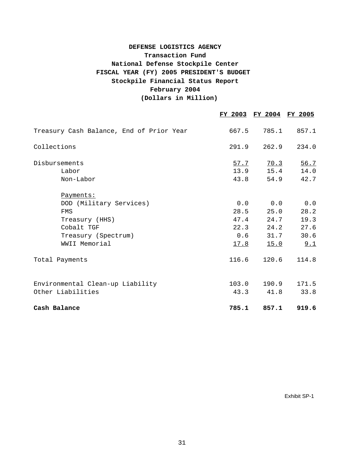## **February 2004 (Dollars in Million) Stockpile Financial Status Report DEFENSE LOGISTICS AGENCY Transaction Fund National Defense Stockpile Center FISCAL YEAR (FY) 2005 PRESIDENT'S BUDGET**

|                                                       |                      | FY 2003 FY 2004 FY 2005 |                      |
|-------------------------------------------------------|----------------------|-------------------------|----------------------|
| Treasury Cash Balance, End of Prior Year              | 667.5                | 785.1                   | 857.1                |
| Collections                                           | 291.9                | 262.9                   | 234.0                |
| Disbursements<br>Labor<br>Non-Labor                   | 57.7<br>13.9<br>43.8 | 70.3<br>15.4<br>54.9    | 56.7<br>14.0<br>42.7 |
| Payments:                                             |                      |                         |                      |
| DOD (Military Services)<br>FMS                        | 28.5                 | 0.0 0.0<br>25.0         | 0.0<br>28.2          |
| Treasury (HHS)<br>Cobalt TGF                          | 47.4<br>22.3         | 24.7<br>24.2            | 19.3<br>27.6         |
| Treasury (Spectrum)<br>WWII Memorial                  | 0.6<br><u>17.8</u>   | 31.7<br><u> 15.0</u>    | 30.6<br>9.1          |
| Total Payments                                        | 116.6                | 120.6                   | 114.8                |
| Environmental Clean-up Liability<br>Other Liabilities | 103.0<br>43.3        | 190.9<br>41.8           | 171.5<br>33.8        |
| Cash Balance                                          | 785.1                | 857.1                   | 919.6                |

Exhibit SP-1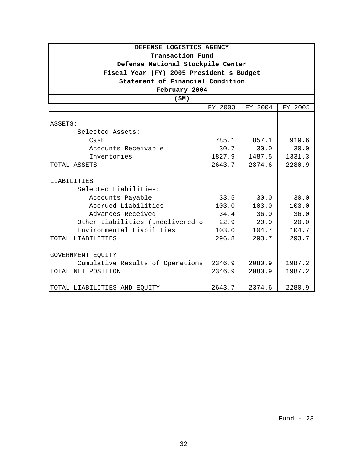| DEFENSE LOGISTICS AGENCY                 |         |         |         |
|------------------------------------------|---------|---------|---------|
| Transaction Fund                         |         |         |         |
| Defense National Stockpile Center        |         |         |         |
| Fiscal Year (FY) 2005 President's Budget |         |         |         |
| Statement of Financial Condition         |         |         |         |
| February 2004                            |         |         |         |
| (SM)                                     |         |         |         |
|                                          | FY 2003 | FY 2004 | FY 2005 |
|                                          |         |         |         |
| ASSETS:                                  |         |         |         |
| Selected Assets:                         |         |         |         |
| Cash                                     | 785.1   | 857.1   | 919.6   |
| Accounts Receivable                      | 30.7    | 30.0    | 30.0    |
| Inventories                              | 1827.9  | 1487.5  | 1331.3  |
| TOTAL ASSETS                             | 2643.7  | 2374.6  | 2280.9  |
| LIABILITIES                              |         |         |         |
| Selected Liabilities:                    |         |         |         |
| Accounts Payable                         | 33.5    | 30.0    | 30.0    |
| Accrued Liabilities                      | 103.0   | 103.0   | 103.0   |
| Advances Received                        | 34.4    | 36.0    | 36.0    |
| Other Liabilities (undelivered o         | 22.9    | 20.0    | 20.0    |
| Environmental Liabilities                | 103.0   | 104.7   | 104.7   |
| TOTAL LIABILITIES                        | 296.8   | 293.7   | 293.7   |
| GOVERNMENT EQUITY                        |         |         |         |
| Cumulative Results of Operations         | 2346.9  | 2080.9  | 1987.2  |
| TOTAL NET POSITION                       | 2346.9  | 2080.9  | 1987.2  |
| TOTAL LIABILITIES AND EQUITY             | 2643.7  | 2374.6  | 2280.9  |